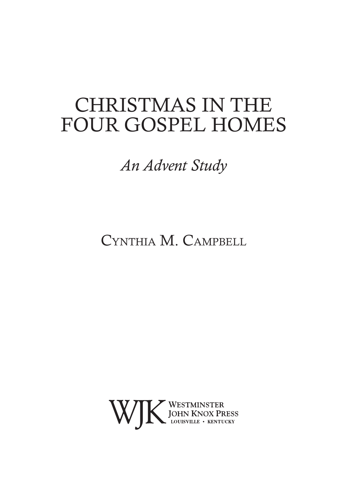## CHRISTMAS IN THE FOUR GOSPEL HOMES

*An Advent Study*

CYNTHIA M. CAMPBELL

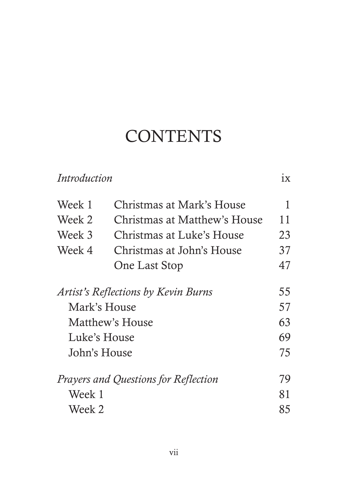# **CONTENTS**

| Introduction    |                                      | 1X |
|-----------------|--------------------------------------|----|
| Week 1          | Christmas at Mark's House            | 1  |
| Week 2          | Christmas at Matthew's House         | 11 |
| Week 3          | Christmas at Luke's House            | 23 |
| Week 4          | Christmas at John's House            | 37 |
|                 | One Last Stop                        | 47 |
|                 | Artist's Reflections by Kevin Burns  | 55 |
| Mark's House    |                                      | 57 |
| Matthew's House |                                      | 63 |
| Luke's House    |                                      | 69 |
| John's House    |                                      |    |
|                 | Prayers and Questions for Reflection | 79 |
| Week 1          |                                      | 81 |
| Week 2          |                                      | 85 |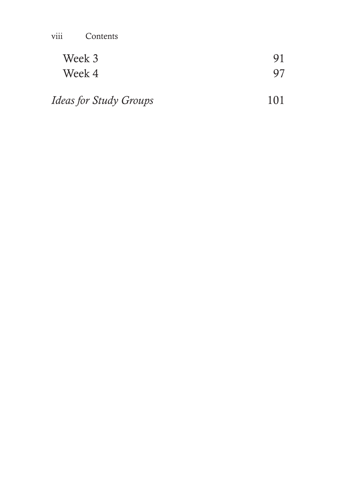| Week 3 | 91 |
|--------|----|
| Week 4 | 97 |
|        |    |

| <b>Ideas for Study Groups</b> |  | 101 |
|-------------------------------|--|-----|
|-------------------------------|--|-----|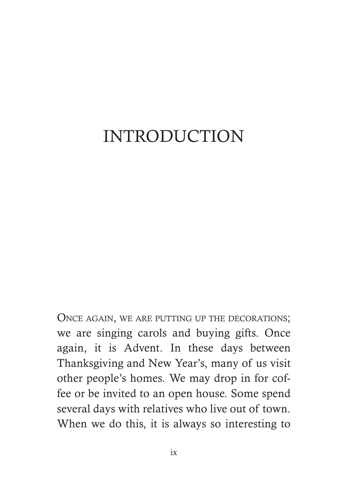## INTRODUCTION

Once again, we are putting up the decorations; we are singing carols and buying gifts. Once again, it is Advent. In these days between Thanksgiving and New Year's, many of us visit other people's homes. We may drop in for coffee or be invited to an open house. Some spend several days with relatives who live out of town. When we do this, it is always so interesting to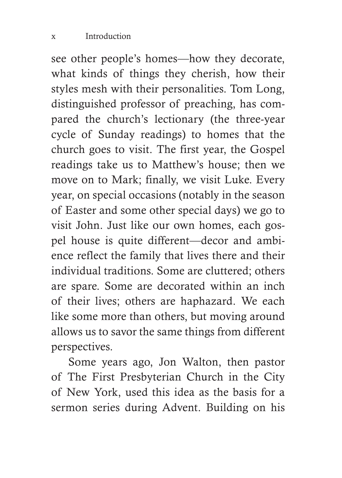see other people's homes—how they decorate, what kinds of things they cherish, how their styles mesh with their personalities. Tom Long, distinguished professor of preaching, has compared the church's lectionary (the three-year cycle of Sunday readings) to homes that the church goes to visit. The first year, the Gospel readings take us to Matthew's house; then we move on to Mark; finally, we visit Luke. Every year, on special occasions (notably in the season of Easter and some other special days) we go to visit John. Just like our own homes, each gospel house is quite different—decor and ambience reflect the family that lives there and their individual traditions. Some are cluttered; others are spare. Some are decorated within an inch of their lives; others are haphazard. We each like some more than others, but moving around allows us to savor the same things from different perspectives.

Some years ago, Jon Walton, then pastor of The First Presbyterian Church in the City of New York, used this idea as the basis for a sermon series during Advent. Building on his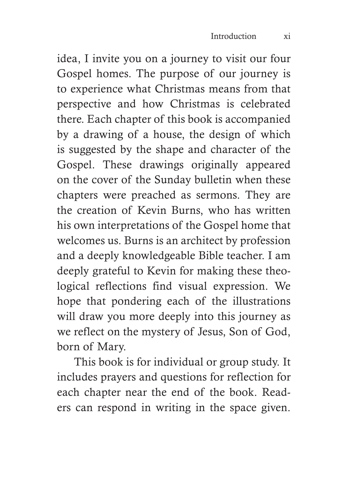idea, I invite you on a journey to visit our four Gospel homes. The purpose of our journey is to experience what Christmas means from that perspective and how Christmas is celebrated there. Each chapter of this book is accompanied by a drawing of a house, the design of which is suggested by the shape and character of the Gospel. These drawings originally appeared on the cover of the Sunday bulletin when these chapters were preached as sermons. They are the creation of Kevin Burns, who has written his own interpretations of the Gospel home that welcomes us. Burns is an architect by profession and a deeply knowledgeable Bible teacher. I am deeply grateful to Kevin for making these theological reflections find visual expression. We hope that pondering each of the illustrations will draw you more deeply into this journey as we reflect on the mystery of Jesus, Son of God, born of Mary.

This book is for individual or group study. It includes prayers and questions for reflection for each chapter near the end of the book. Readers can respond in writing in the space given.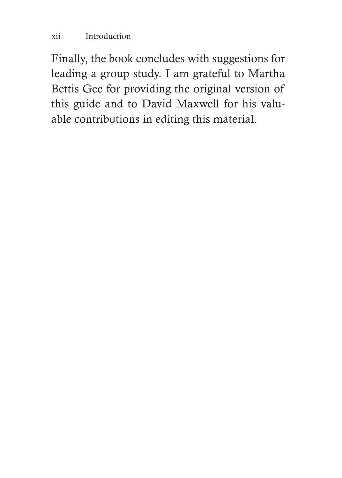Finally, the book concludes with suggestions for leading a group study. I am grateful to Martha Bettis Gee for providing the original version of this guide and to David Maxwell for his valuable contributions in editing this material.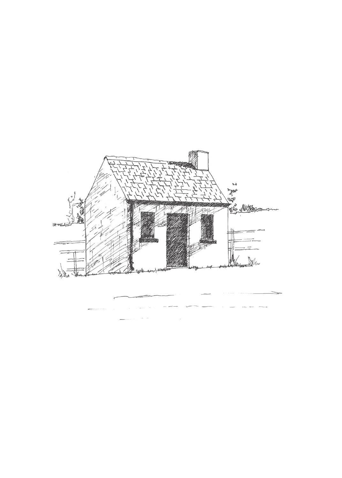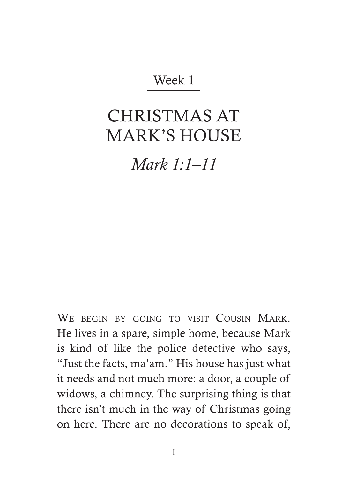#### Week 1

## CHRISTMAS AT MARK'S HOUSE

*Mark 1:1–11*

WE BEGIN BY GOING TO VISIT COUSIN MARK. He lives in a spare, simple home, because Mark is kind of like the police detective who says, "Just the facts, ma'am." His house has just what it needs and not much more: a door, a couple of widows, a chimney. The surprising thing is that there isn't much in the way of Christmas going on here. There are no decorations to speak of,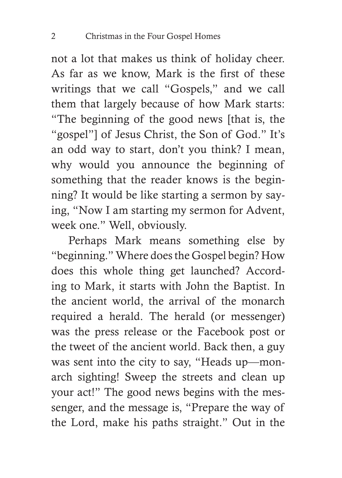not a lot that makes us think of holiday cheer. As far as we know, Mark is the first of these writings that we call "Gospels," and we call them that largely because of how Mark starts: "The beginning of the good news [that is, the "gospel"] of Jesus Christ, the Son of God." It's an odd way to start, don't you think? I mean, why would you announce the beginning of something that the reader knows is the beginning? It would be like starting a sermon by saying, "Now I am starting my sermon for Advent, week one." Well, obviously.

Perhaps Mark means something else by "beginning." Where does the Gospel begin? How does this whole thing get launched? According to Mark, it starts with John the Baptist. In the ancient world, the arrival of the monarch required a herald. The herald (or messenger) was the press release or the Facebook post or the tweet of the ancient world. Back then, a guy was sent into the city to say, "Heads up—monarch sighting! Sweep the streets and clean up your act!" The good news begins with the messenger, and the message is, "Prepare the way of the Lord, make his paths straight." Out in the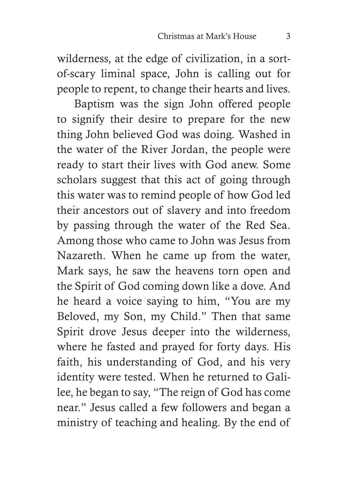wilderness, at the edge of civilization, in a sortof-scary liminal space, John is calling out for people to repent, to change their hearts and lives.

Baptism was the sign John offered people to signify their desire to prepare for the new thing John believed God was doing. Washed in the water of the River Jordan, the people were ready to start their lives with God anew. Some scholars suggest that this act of going through this water was to remind people of how God led their ancestors out of slavery and into freedom by passing through the water of the Red Sea. Among those who came to John was Jesus from Nazareth. When he came up from the water, Mark says, he saw the heavens torn open and the Spirit of God coming down like a dove. And he heard a voice saying to him, "You are my Beloved, my Son, my Child." Then that same Spirit drove Jesus deeper into the wilderness, where he fasted and prayed for forty days. His faith, his understanding of God, and his very identity were tested. When he returned to Galilee, he began to say, "The reign of God has come near." Jesus called a few followers and began a ministry of teaching and healing. By the end of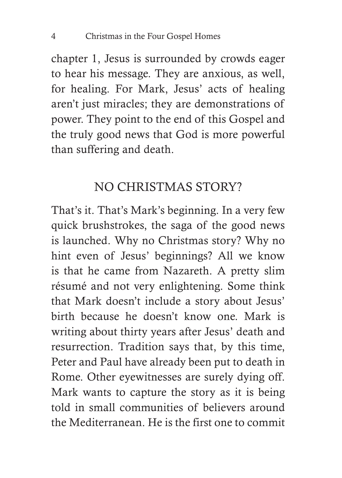chapter 1, Jesus is surrounded by crowds eager to hear his message. They are anxious, as well, for healing. For Mark, Jesus' acts of healing aren't just miracles; they are demonstrations of power. They point to the end of this Gospel and the truly good news that God is more powerful than suffering and death.

### NO CHRISTMAS STORY?

That's it. That's Mark's beginning. In a very few quick brushstrokes, the saga of the good news is launched. Why no Christmas story? Why no hint even of Jesus' beginnings? All we know is that he came from Nazareth. A pretty slim résumé and not very enlightening. Some think that Mark doesn't include a story about Jesus' birth because he doesn't know one. Mark is writing about thirty years after Jesus' death and resurrection. Tradition says that, by this time, Peter and Paul have already been put to death in Rome. Other eyewitnesses are surely dying off. Mark wants to capture the story as it is being told in small communities of believers around the Mediterranean. He is the first one to commit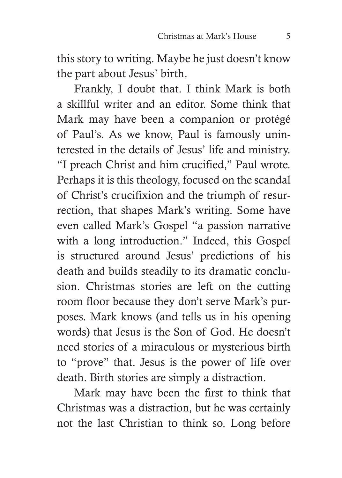this story to writing. Maybe he just doesn't know the part about Jesus' birth.

Frankly, I doubt that. I think Mark is both a skillful writer and an editor. Some think that Mark may have been a companion or protégé of Paul's. As we know, Paul is famously uninterested in the details of Jesus' life and ministry. "I preach Christ and him crucified," Paul wrote. Perhaps it is this theology, focused on the scandal of Christ's crucifixion and the triumph of resurrection, that shapes Mark's writing. Some have even called Mark's Gospel "a passion narrative with a long introduction." Indeed, this Gospel is structured around Jesus' predictions of his death and builds steadily to its dramatic conclusion. Christmas stories are left on the cutting room floor because they don't serve Mark's purposes. Mark knows (and tells us in his opening words) that Jesus is the Son of God. He doesn't need stories of a miraculous or mysterious birth to "prove" that. Jesus is the power of life over death. Birth stories are simply a distraction.

Mark may have been the first to think that Christmas was a distraction, but he was certainly not the last Christian to think so. Long before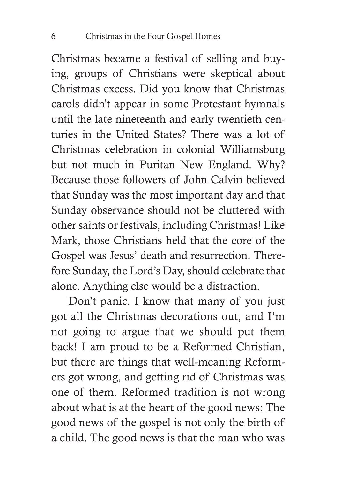Christmas became a festival of selling and buying, groups of Christians were skeptical about Christmas excess. Did you know that Christmas carols didn't appear in some Protestant hymnals until the late nineteenth and early twentieth centuries in the United States? There was a lot of Christmas celebration in colonial Williamsburg but not much in Puritan New England. Why? Because those followers of John Calvin believed that Sunday was the most important day and that Sunday observance should not be cluttered with other saints or festivals, including Christmas! Like Mark, those Christians held that the core of the Gospel was Jesus' death and resurrection. Therefore Sunday, the Lord's Day, should celebrate that alone. Anything else would be a distraction.

Don't panic. I know that many of you just got all the Christmas decorations out, and I'm not going to argue that we should put them back! I am proud to be a Reformed Christian, but there are things that well-meaning Reformers got wrong, and getting rid of Christmas was one of them. Reformed tradition is not wrong about what is at the heart of the good news: The good news of the gospel is not only the birth of a child. The good news is that the man who was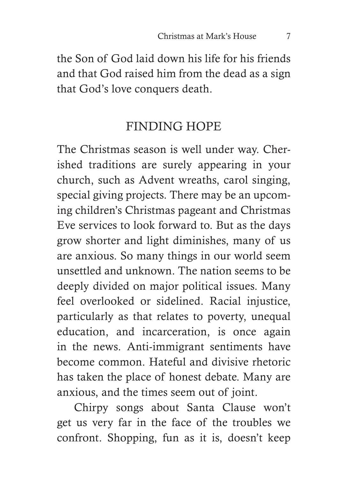the Son of God laid down his life for his friends and that God raised him from the dead as a sign that God's love conquers death.

#### FINDING HOPE

The Christmas season is well under way. Cherished traditions are surely appearing in your church, such as Advent wreaths, carol singing, special giving projects. There may be an upcoming children's Christmas pageant and Christmas Eve services to look forward to. But as the days grow shorter and light diminishes, many of us are anxious. So many things in our world seem unsettled and unknown. The nation seems to be deeply divided on major political issues. Many feel overlooked or sidelined. Racial injustice, particularly as that relates to poverty, unequal education, and incarceration, is once again in the news. Anti-immigrant sentiments have become common. Hateful and divisive rhetoric has taken the place of honest debate. Many are anxious, and the times seem out of joint.

Chirpy songs about Santa Clause won't get us very far in the face of the troubles we confront. Shopping, fun as it is, doesn't keep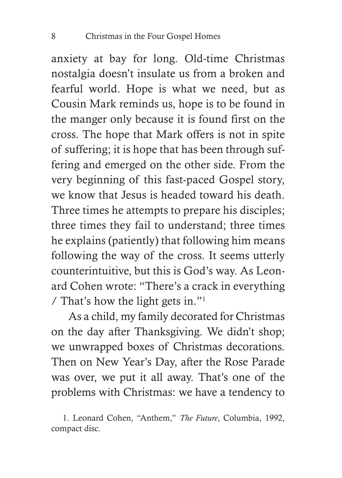anxiety at bay for long. Old-time Christmas nostalgia doesn't insulate us from a broken and fearful world. Hope is what we need, but as Cousin Mark reminds us, hope is to be found in the manger only because it is found first on the cross. The hope that Mark offers is not in spite of suffering; it is hope that has been through suffering and emerged on the other side. From the very beginning of this fast-paced Gospel story, we know that Jesus is headed toward his death. Three times he attempts to prepare his disciples; three times they fail to understand; three times he explains (patiently) that following him means following the way of the cross. It seems utterly counterintuitive, but this is God's way. As Leonard Cohen wrote: "There's a crack in everything / That's how the light gets in."1

As a child, my family decorated for Christmas on the day after Thanksgiving. We didn't shop; we unwrapped boxes of Christmas decorations. Then on New Year's Day, after the Rose Parade was over, we put it all away. That's one of the problems with Christmas: we have a tendency to

<sup>1.</sup> Leonard Cohen, "Anthem," *The Future*, Columbia, 1992, compact disc.